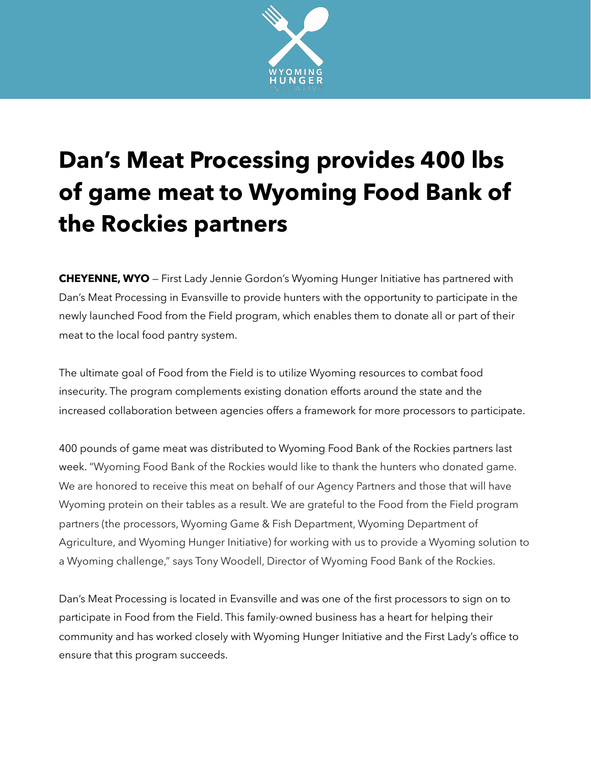

## **Dan's Meat Processing provides 400 lbs of game meat to Wyoming Food Bank of the Rockies partners**

**CHEYENNE, WYO** — First Lady Jennie Gordon's Wyoming Hunger Initiative has partnered with Dan's Meat Processing in Evansville to provide hunters with the opportunity to participate in the newly launched Food from the Field program, which enables them to donate all or part of their meat to the local food pantry system.

The ultimate goal of Food from the Field is to utilize Wyoming resources to combat food insecurity. The program complements existing donation efforts around the state and the increased collaboration between agencies offers a framework for more processors to participate.

400 pounds of game meat was distributed to Wyoming Food Bank of the Rockies partners last week. "Wyoming Food Bank of the Rockies would like to thank the hunters who donated game. We are honored to receive this meat on behalf of our Agency Partners and those that will have Wyoming protein on their tables as a result. We are grateful to the Food from the Field program partners (the processors, Wyoming Game & Fish Department, Wyoming Department of Agriculture, and Wyoming Hunger Initiative) for working with us to provide a Wyoming solution to a Wyoming challenge," says Tony Woodell, Director of Wyoming Food Bank of the Rockies.

Dan's Meat Processing is located in Evansville and was one of the first processors to sign on to participate in Food from the Field. This family-owned business has a heart for helping their community and has worked closely with Wyoming Hunger Initiative and the First Lady's office to ensure that this program succeeds.